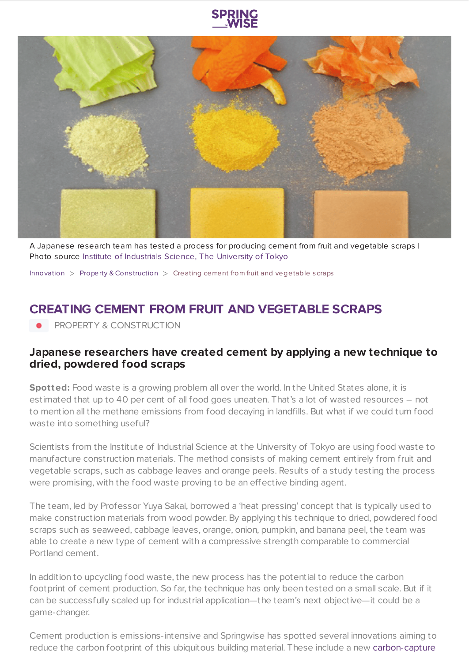



A Japanese research team has tested a process for producing cement from fruit and vegetable scraps | Photo source Institute of [Industrials](https://r.goope.jp/ysakai) Science, The University of Tokyo

[Innovation](https://www.springwise.com/search?type=innovation)  $>$  [Property](https://www.springwise.com/search?type=innovation§or=property-and-construction) & Construction  $>$  Creating cement from fruit and vegetable scraps

## **CREATING CEMENT FROM FRUIT AND VEGETABLE SCRAPS**

**•** PROPERTY & CONSTRUCTION

## **Japanese researchers have created cement by applying a new technique to dried, powdered food scraps**

**Spotted:** Food waste is a growing problem all over the world. In the United States alone, it is estimated that up to 40 per cent of all food goes uneaten. That's a lot of wasted resources – not to mention all the methane emissions from food decaying in landfills. But what if we could turn food waste into something useful?

Scientists from the Institute of Industrial Science at the University of Tokyo are using food waste to manufacture construction materials. The method consists of making cement entirely from fruit and vegetable scraps, such as cabbage leaves and orange peels. Results of a study testing the process were promising, with the food waste proving to be an effective binding agent.

The team, led by Professor Yuya Sakai, borrowed a 'heat pressing' concept that is typically used to make construction materials from wood powder. By applying this technique to dried, powdered food scraps such as seaweed, cabbage leaves, orange, onion, pumpkin, and banana peel, the team was able to create a new type of cement with a compressive strength comparable to commercial Portland cement.

In addition to upcycling food waste, the new process has the potential to reduce the carbon footprint of cement production. So far, the technique has only been tested on a small scale. But if it can be successfully scaled up for industrial application—the team's next objective—it could be a game-changer.

Cement production is emissions-intensive and Springwise has spotted several innovations aiming to reduce the carbon footprint of this ubiquitous building material. These include a new [carbon-capture](https://www.springwise.com/innovation/property-construction/a-carbon-capture-solvent-helping-cement-production-get-to-net-zero)